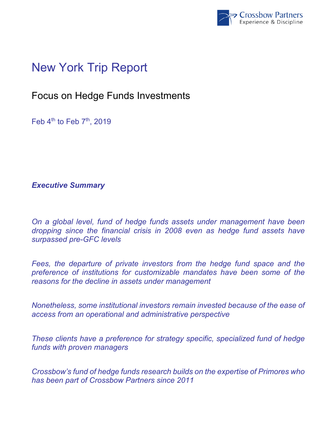

# New York Trip Report

## Focus on Hedge Funds Investments

Feb  $4<sup>th</sup>$  to Feb  $7<sup>th</sup>$ , 2019

*Executive Summary* 

*On a global level, fund of hedge funds assets under management have been dropping since the financial crisis in 2008 even as hedge fund assets have surpassed pre-GFC levels* 

Fees, the departure of private investors from the hedge fund space and the *preference of institutions for customizable mandates have been some of the reasons for the decline in assets under management* 

*Nonetheless, some institutional investors remain invested because of the ease of access from an operational and administrative perspective* 

*These clients have a preference for strategy specific, specialized fund of hedge funds with proven managers* 

*Crossbow's fund of hedge funds research builds on the expertise of Primores who has been part of Crossbow Partners since 2011*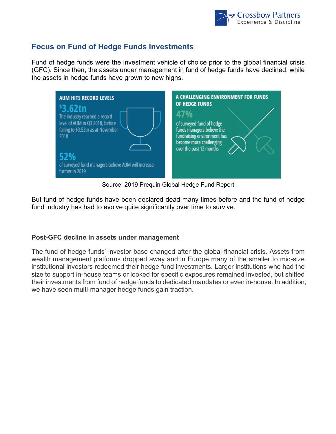

### **Focus on Fund of Hedge Funds Investments**

Fund of hedge funds were the investment vehicle of choice prior to the global financial crisis (GFC). Since then, the assets under management in fund of hedge funds have declined, while the assets in hedge funds have grown to new highs.



Source: 2019 Prequin Global Hedge Fund Report

But fund of hedge funds have been declared dead many times before and the fund of hedge fund industry has had to evolve quite significantly over time to survive.

#### **Post-GFC decline in assets under management**

The fund of hedge funds' investor base changed after the global financial crisis. Assets from wealth management platforms dropped away and in Europe many of the smaller to mid-size institutional investors redeemed their hedge fund investments. Larger institutions who had the size to support in-house teams or looked for specific exposures remained invested, but shifted their investments from fund of hedge funds to dedicated mandates or even in-house. In addition, we have seen multi-manager hedge funds gain traction.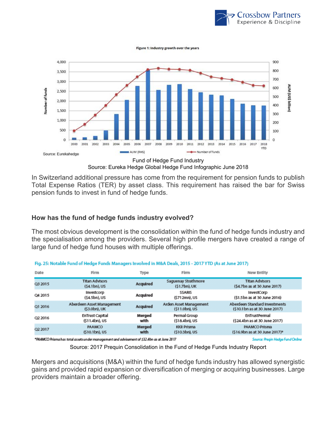

Figure 1: Industry growth over the years



In Switzerland additional pressure has come from the requirement for pension funds to publish Total Expense Ratios (TER) by asset class. This requirement has raised the bar for Swiss pension funds to invest in fund of hedge funds.

#### **How has the fund of hedge funds industry evolved?**

The most obvious development is the consolidation within the fund of hedge funds industry and the specialisation among the providers. Several high profile mergers have created a range of large fund of hedge fund houses with multiple offerings.

| Date    | Firm                                       | Type           | Firm                                     | New Entity                                                      |
|---------|--------------------------------------------|----------------|------------------------------------------|-----------------------------------------------------------------|
| Q3 2015 | <b>Titan Advisors</b><br>$(54.1bn)$ , US   | Acquired       | Saguenay Strathmore<br>$(51.7bn)$ , UK   | <b>Titan Advisors</b><br>(\$4.7bn as at 30 June 2017)           |
| Q4 2015 | Investcorp<br>(\$4.5bn), US                | Acquired       | <b>SSARIS</b><br>(\$712mn), US           | InvestCorp<br>(\$1.5bn as at 30 June 2016)                      |
| Q1 2016 | Aberdeen Asset Management<br>(\$3.0bn), UK | Acquired       | Arden Asset Management<br>(\$11.0bn), US | Aberdeen Standard Investments<br>(\$10.1 bn as at 30 June 2017) |
| Q2 2016 | <b>EnTrust Capital</b><br>(\$11.4bn), US   | Merged<br>with | Permal Group<br>(\$18.4bn), US           | EnTrustPermal<br>(\$24.4bn as at 30 June 2017)                  |
| Q2 2017 | PAAMCO<br>$(510.1bn)$ , US                 | Merged<br>with | <b>KKR Prisma</b><br>(\$10.3bn), US      | PAAMCO Prisma<br>(\$16.9bn as at 30 June 2017)*                 |
|         |                                            |                |                                          |                                                                 |

Fig. 25: Notable Fund of Hedge Funds Managers Involved in M&A Deals, 2015 - 2017 YTD (As at June 2017)

Source: Preqin Hedge Fund Online (\$32.4bn as at June 2017) "PAAMCO Prisma has total assets under management and advisement of \$32.4bn as at June 2017<br>Source: 2017 Prequin Consolidation in the Fund of Hedge Funds Industry R

Mergers and acquisitions (M&A) within the fund of hedge funds industry has allowed synergistic gains and provided rapid expansion or diversification of merging or acquiring businesses. Large providers maintain a broader offering.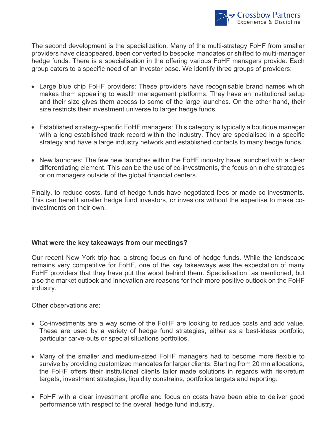

The second development is the specialization. Many of the multi-strategy FoHF from smaller providers have disappeared, been converted to bespoke mandates or shifted to multi-manager hedge funds. There is a specialisation in the offering various FoHF managers provide. Each group caters to a specific need of an investor base. We identify three groups of providers:

- Large blue chip FoHF providers: These providers have recognisable brand names which makes them appealing to wealth management platforms. They have an institutional setup and their size gives them access to some of the large launches. On the other hand, their size restricts their investment universe to larger hedge funds.
- Established strategy-specific FoHF managers: This category is typically a boutique manager with a long established track record within the industry. They are specialised in a specific strategy and have a large industry network and established contacts to many hedge funds.
- New launches: The few new launches within the FoHF industry have launched with a clear differentiating element. This can be the use of co-investments, the focus on niche strategies or on managers outside of the global financial centers.

Finally, to reduce costs, fund of hedge funds have negotiated fees or made co-investments. This can benefit smaller hedge fund investors, or investors without the expertise to make coinvestments on their own.

#### **What were the key takeaways from our meetings?**

Our recent New York trip had a strong focus on fund of hedge funds. While the landscape remains very competitive for FoHF, one of the key takeaways was the expectation of many FoHF providers that they have put the worst behind them. Specialisation, as mentioned, but also the market outlook and innovation are reasons for their more positive outlook on the FoHF industry.

Other observations are:

- Co-investments are a way some of the FoHF are looking to reduce costs and add value. These are used by a variety of hedge fund strategies, either as a best-ideas portfolio, particular carve-outs or special situations portfolios.
- Many of the smaller and medium-sized FoHF managers had to become more flexible to survive by providing customized mandates for larger clients. Starting from 20 mn allocations, the FoHF offers their institutional clients tailor made solutions in regards with risk/return targets, investment strategies, liquidity constrains, portfolios targets and reporting.
- FoHF with a clear investment profile and focus on costs have been able to deliver good performance with respect to the overall hedge fund industry.